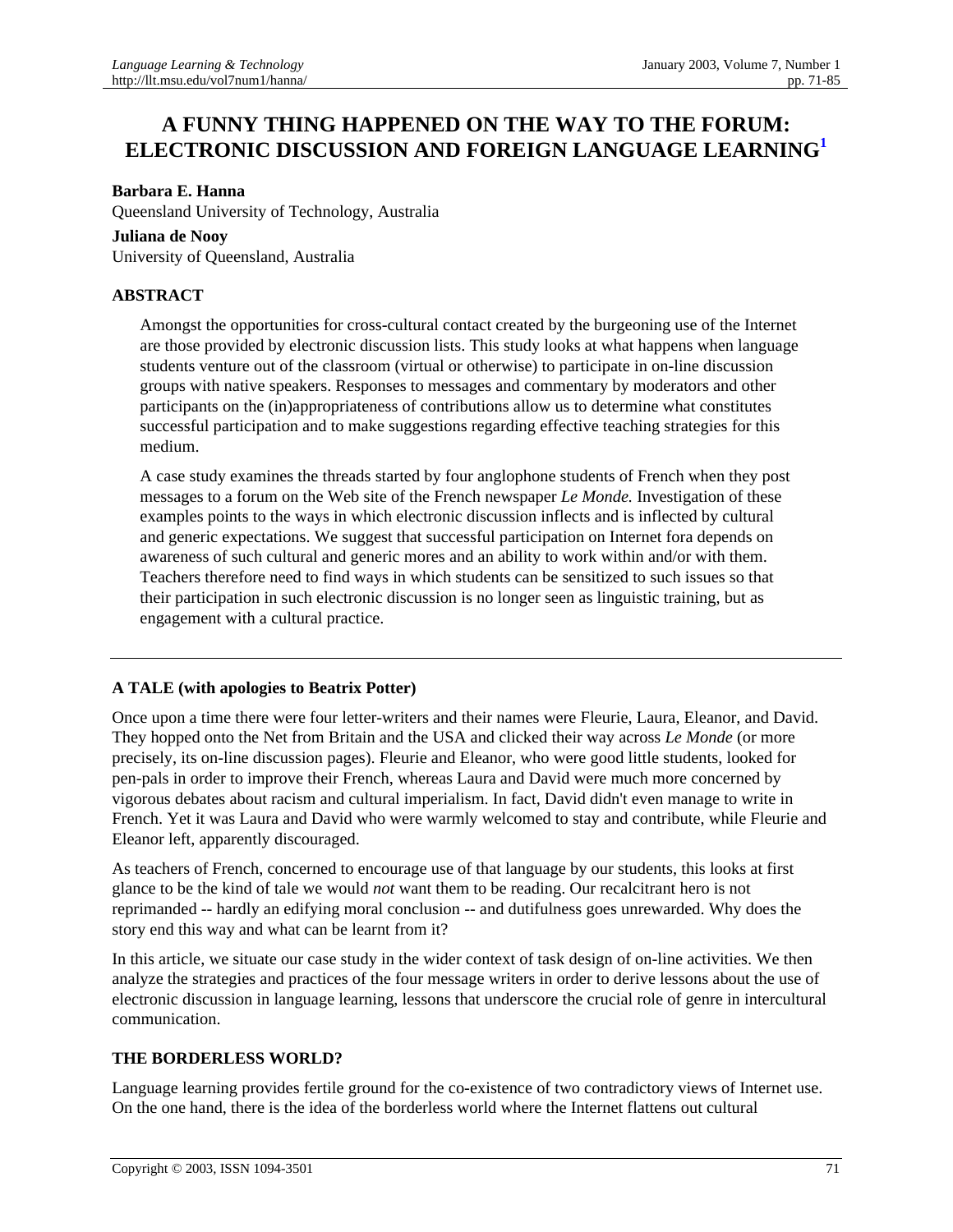# **A FUNNY THING HAPPENED ON THE WAY TO THE FORUM: ELECTRONIC DISCUSSION AND FOREIGN LANGUAGE LEARNING<sup>1</sup>**

## **Barbara E. Hanna**

Queensland University of Technology, Australia

#### **Juliana de Nooy**

University of Queensland, Australia

# **ABSTRACT**

Amongst the opportunities for cross-cultural contact created by the burgeoning use of the Internet are those provided by electronic discussion lists. This study looks at what happens when language students venture out of the classroom (virtual or otherwise) to participate in on-line discussion groups with native speakers. Responses to messages and commentary by moderators and other participants on the (in)appropriateness of contributions allow us to determine what constitutes successful participation and to make suggestions regarding effective teaching strategies for this medium.

A case study examines the threads started by four anglophone students of French when they post messages to a forum on the Web site of the French newspaper *Le Monde.* Investigation of these examples points to the ways in which electronic discussion inflects and is inflected by cultural and generic expectations. We suggest that successful participation on Internet fora depends on awareness of such cultural and generic mores and an ability to work within and/or with them. Teachers therefore need to find ways in which students can be sensitized to such issues so that their participation in such electronic discussion is no longer seen as linguistic training, but as engagement with a cultural practice.

# **A TALE (with apologies to Beatrix Potter)**

Once upon a time there were four letter-writers and their names were Fleurie, Laura, Eleanor, and David. They hopped onto the Net from Britain and the USA and clicked their way across *Le Monde* (or more precisely, its on-line discussion pages). Fleurie and Eleanor, who were good little students, looked for pen-pals in order to improve their French, whereas Laura and David were much more concerned by vigorous debates about racism and cultural imperialism. In fact, David didn't even manage to write in French. Yet it was Laura and David who were warmly welcomed to stay and contribute, while Fleurie and Eleanor left, apparently discouraged.

As teachers of French, concerned to encourage use of that language by our students, this looks at first glance to be the kind of tale we would *not* want them to be reading. Our recalcitrant hero is not reprimanded -- hardly an edifying moral conclusion -- and dutifulness goes unrewarded. Why does the story end this way and what can be learnt from it?

In this article, we situate our case study in the wider context of task design of on-line activities. We then analyze the strategies and practices of the four message writers in order to derive lessons about the use of electronic discussion in language learning, lessons that underscore the crucial role of genre in intercultural communication.

# **THE BORDERLESS WORLD?**

Language learning provides fertile ground for the co-existence of two contradictory views of Internet use. On the one hand, there is the idea of the borderless world where the Internet flattens out cultural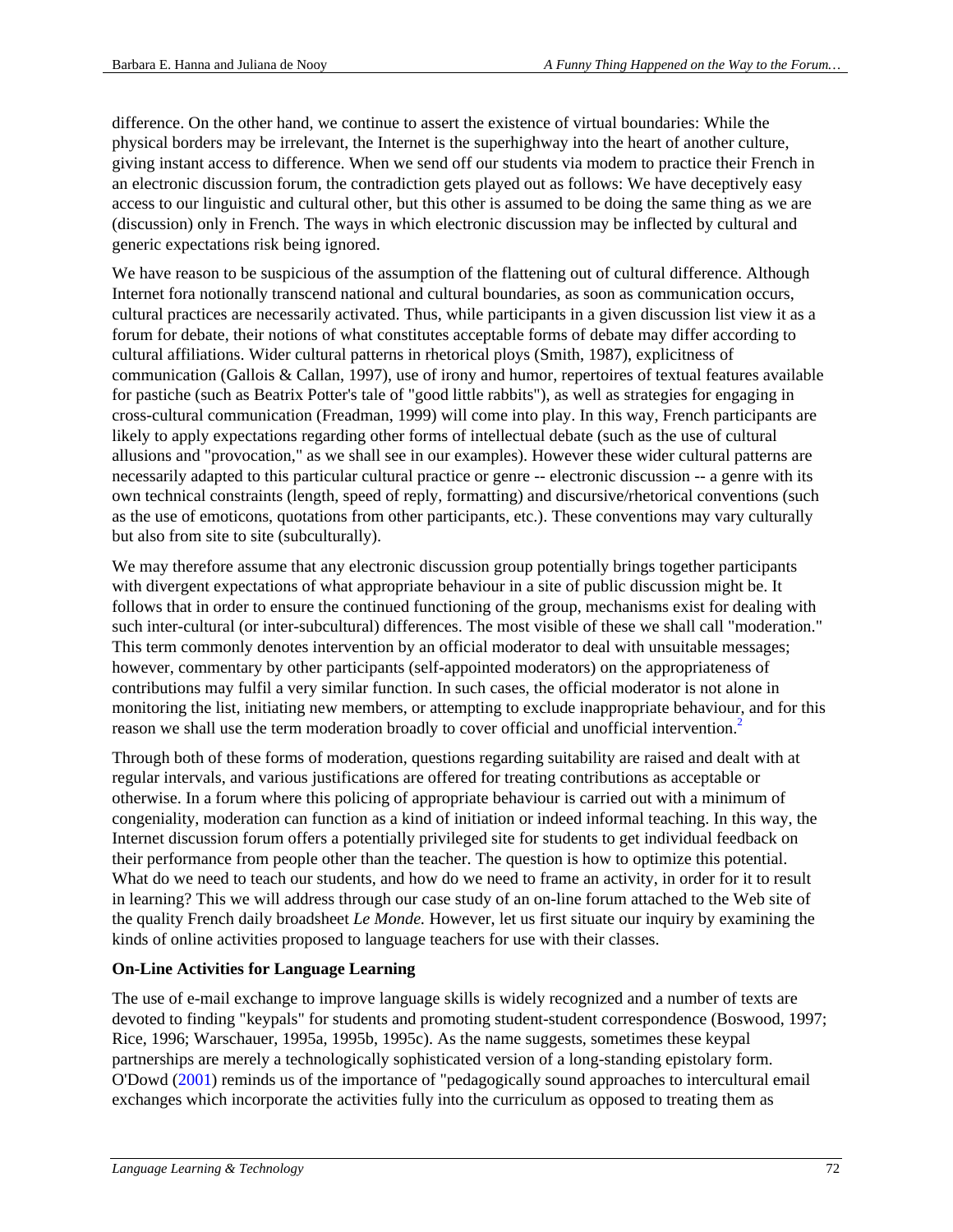difference. On the other hand, we continue to assert the existence of virtual boundaries: While the physical borders may be irrelevant, the Internet is the superhighway into the heart of another culture, giving instant access to difference. When we send off our students via modem to practice their French in an electronic discussion forum, the contradiction gets played out as follows: We have deceptively easy access to our linguistic and cultural other, but this other is assumed to be doing the same thing as we are (discussion) only in French. The ways in which electronic discussion may be inflected by cultural and generic expectations risk being ignored.

We have reason to be suspicious of the assumption of the flattening out of cultural difference. Although Internet fora notionally transcend national and cultural boundaries, as soon as communication occurs, cultural practices are necessarily activated. Thus, while participants in a given discussion list view it as a forum for debate, their notions of what constitutes acceptable forms of debate may differ according to cultural affiliations. Wider cultural patterns in rhetorical ploys (Smith, 1987), explicitness of communication (Gallois & Callan, 1997), use of irony and humor, repertoires of textual features available for pastiche (such as Beatrix Potter's tale of "good little rabbits"), as well as strategies for engaging in cross-cultural communication (Freadman, 1999) will come into play. In this way, French participants are likely to apply expectations regarding other forms of intellectual debate (such as the use of cultural allusions and "provocation," as we shall see in our examples). However these wider cultural patterns are necessarily adapted to this particular cultural practice or genre -- electronic discussion -- a genre with its own technical constraints (length, speed of reply, formatting) and discursive/rhetorical conventions (such as the use of emoticons, quotations from other participants, etc.). These conventions may vary culturally but also from site to site (subculturally).

We may therefore assume that any electronic discussion group potentially brings together participants with divergent expectations of what appropriate behaviour in a site of public discussion might be. It follows that in order to ensure the continued functioning of the group, mechanisms exist for dealing with such inter-cultural (or inter-subcultural) differences. The most visible of these we shall call "moderation." This term commonly denotes intervention by an official moderator to deal with unsuitable messages; however, commentary by other participants (self-appointed moderators) on the appropriateness of contributions may fulfil a very similar function. In such cases, the official moderator is not alone in monitoring the list, initiating new members, or attempting to exclude inappropriate behaviour, and for this reason we shall use the term moderation broadly to cover official and unofficial intervention.<sup>2</sup>

Through both of these forms of moderation, questions regarding suitability are raised and dealt with at regular intervals, and various justifications are offered for treating contributions as acceptable or otherwise. In a forum where this policing of appropriate behaviour is carried out with a minimum of congeniality, moderation can function as a kind of initiation or indeed informal teaching. In this way, the Internet discussion forum offers a potentially privileged site for students to get individual feedback on their performance from people other than the teacher. The question is how to optimize this potential. What do we need to teach our students, and how do we need to frame an activity, in order for it to result in learning? This we will address through our case study of an on-line forum attached to the Web site of the quality French daily broadsheet *Le Monde.* However, let us first situate our inquiry by examining the kinds of online activities proposed to language teachers for use with their classes.

#### **On-Line Activities for Language Learning**

The use of e-mail exchange to improve language skills is widely recognized and a number of texts are devoted to finding "keypals" for students and promoting student-student correspondence (Boswood, 1997; Rice, 1996; Warschauer, 1995a, 1995b, 1995c). As the name suggests, sometimes these keypal partnerships are merely a technologically sophisticated version of a long-standing epistolary form. O'Dowd (2001) reminds us of the importance of "pedagogically sound approaches to intercultural email exchanges which incorporate the activities fully into the curriculum as opposed to treating them as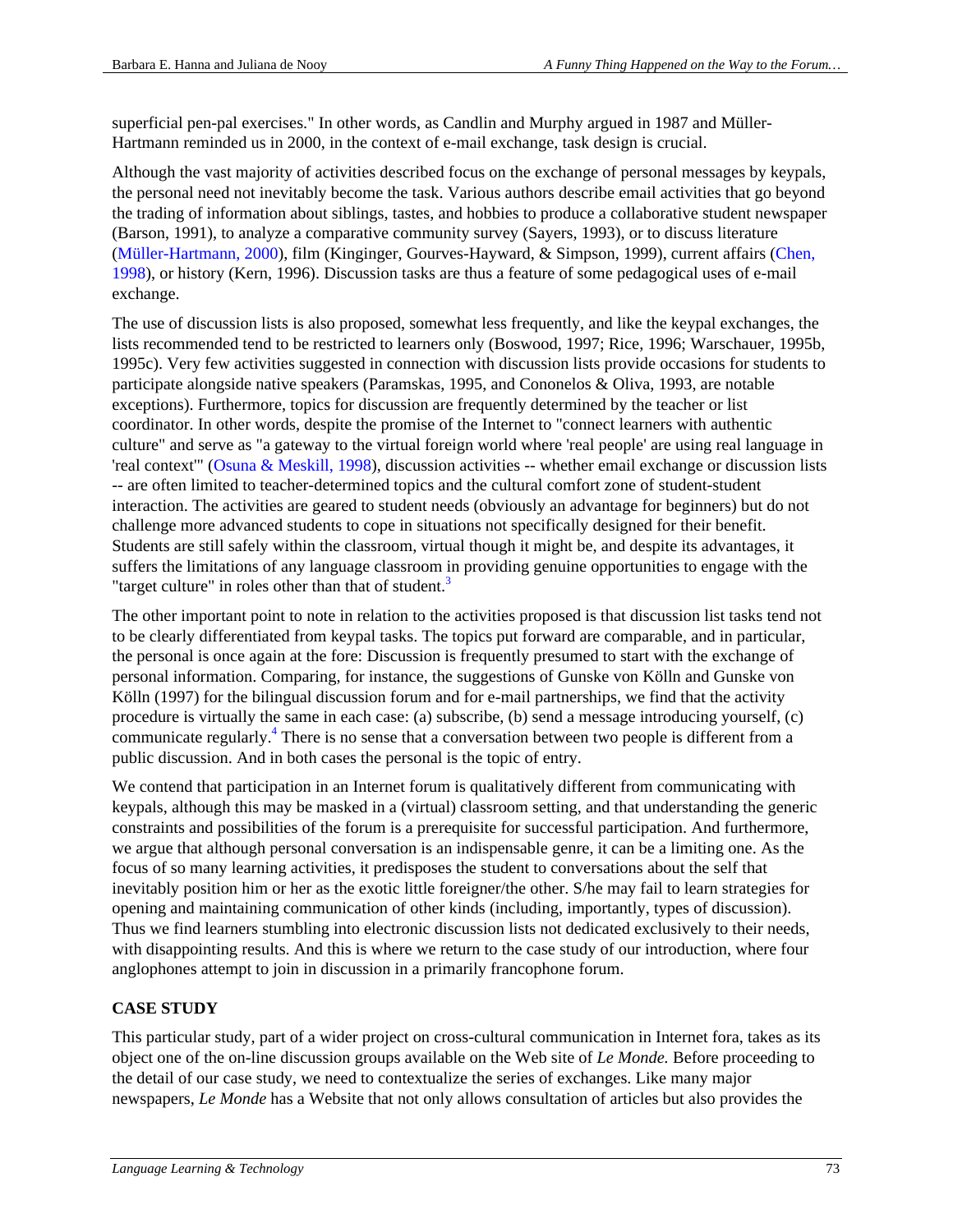superficial pen-pal exercises." In other words, as Candlin and Murphy argued in 1987 and Müller-Hartmann reminded us in 2000, in the context of e-mail exchange, task design is crucial.

Although the vast majority of activities described focus on the exchange of personal messages by keypals, the personal need not inevitably become the task. Various authors describe email activities that go beyond the trading of information about siblings, tastes, and hobbies to produce a collaborative student newspaper (Barson, 1991), to analyze a comparative community survey (Sayers, 1993), or to discuss literature (Müller-Hartmann, 2000), film (Kinginger, Gourves-Hayward, & Simpson, 1999), current affairs (Chen, 1998), or history (Kern, 1996). Discussion tasks are thus a feature of some pedagogical uses of e-mail exchange.

The use of discussion lists is also proposed, somewhat less frequently, and like the keypal exchanges, the lists recommended tend to be restricted to learners only (Boswood, 1997; Rice, 1996; Warschauer, 1995b, 1995c). Very few activities suggested in connection with discussion lists provide occasions for students to participate alongside native speakers (Paramskas, 1995, and Cononelos & Oliva, 1993, are notable exceptions). Furthermore, topics for discussion are frequently determined by the teacher or list coordinator. In other words, despite the promise of the Internet to "connect learners with authentic culture" and serve as "a gateway to the virtual foreign world where 'real people' are using real language in 'real context'" (Osuna & Meskill, 1998), discussion activities -- whether email exchange or discussion lists -- are often limited to teacher-determined topics and the cultural comfort zone of student-student interaction. The activities are geared to student needs (obviously an advantage for beginners) but do not challenge more advanced students to cope in situations not specifically designed for their benefit. Students are still safely within the classroom, virtual though it might be, and despite its advantages, it suffers the limitations of any language classroom in providing genuine opportunities to engage with the "target culture" in roles other than that of student.<sup>3</sup>

The other important point to note in relation to the activities proposed is that discussion list tasks tend not to be clearly differentiated from keypal tasks. The topics put forward are comparable, and in particular, the personal is once again at the fore: Discussion is frequently presumed to start with the exchange of personal information. Comparing, for instance, the suggestions of Gunske von Kölln and Gunske von Kölln (1997) for the bilingual discussion forum and for e-mail partnerships, we find that the activity procedure is virtually the same in each case: (a) subscribe, (b) send a message introducing yourself, (c) communicate regularly.<sup>4</sup> There is no sense that a conversation between two people is different from a public discussion. And in both cases the personal is the topic of entry.

We contend that participation in an Internet forum is qualitatively different from communicating with keypals, although this may be masked in a (virtual) classroom setting, and that understanding the generic constraints and possibilities of the forum is a prerequisite for successful participation. And furthermore, we argue that although personal conversation is an indispensable genre, it can be a limiting one. As the focus of so many learning activities, it predisposes the student to conversations about the self that inevitably position him or her as the exotic little foreigner/the other. S/he may fail to learn strategies for opening and maintaining communication of other kinds (including, importantly, types of discussion). Thus we find learners stumbling into electronic discussion lists not dedicated exclusively to their needs, with disappointing results. And this is where we return to the case study of our introduction, where four anglophones attempt to join in discussion in a primarily francophone forum.

# **CASE STUDY**

This particular study, part of a wider project on cross-cultural communication in Internet fora, takes as its object one of the on-line discussion groups available on the Web site of *Le Monde.* Before proceeding to the detail of our case study, we need to contextualize the series of exchanges. Like many major newspapers, *Le Monde* has a Website that not only allows consultation of articles but also provides the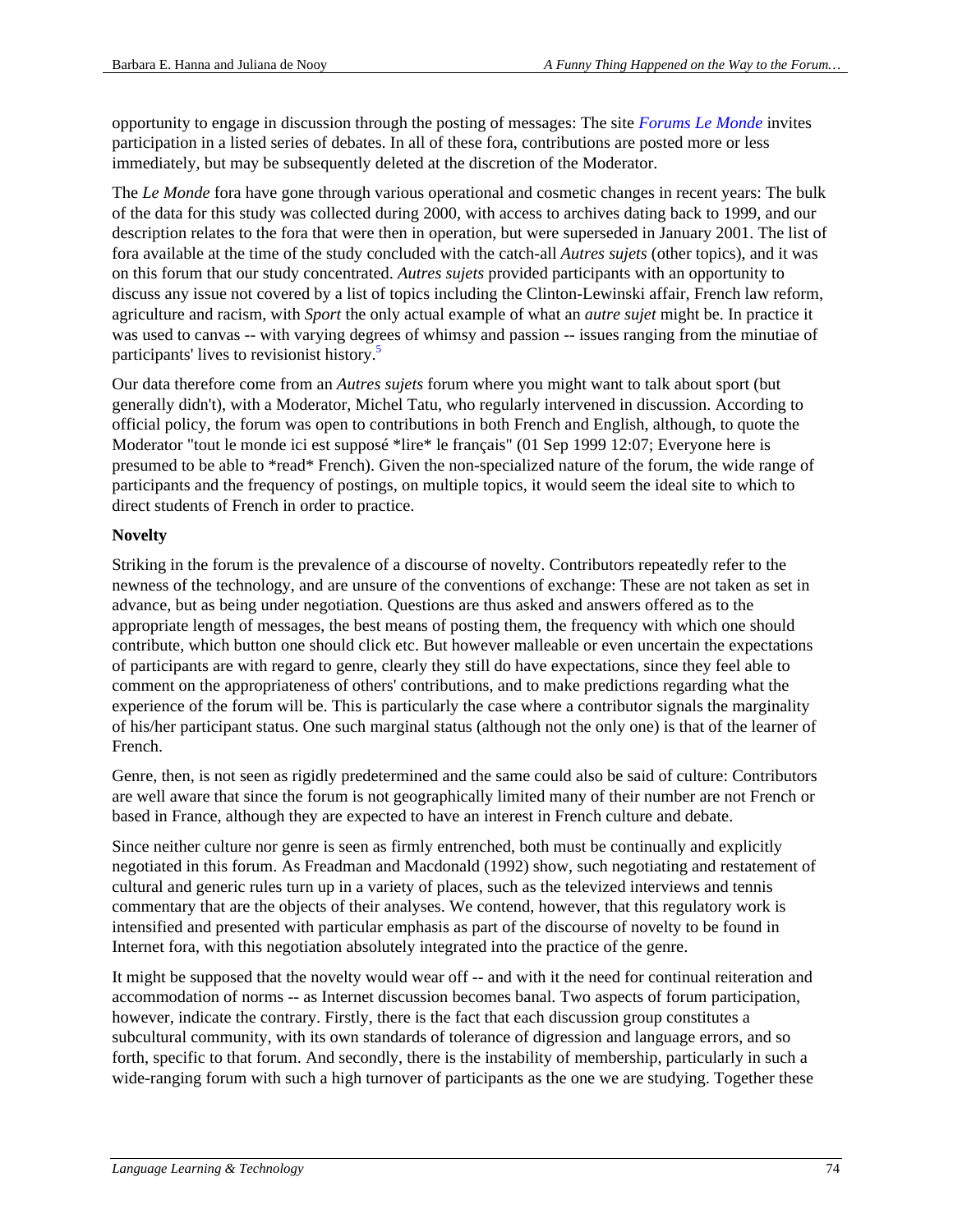opportunity to engage in discussion through the posting of messages: The site *Forums Le Monde* invites participation in a listed series of debates. In all of these fora, contributions are posted more or less immediately, but may be subsequently deleted at the discretion of the Moderator.

The *Le Monde* fora have gone through various operational and cosmetic changes in recent years: The bulk of the data for this study was collected during 2000, with access to archives dating back to 1999, and our description relates to the fora that were then in operation, but were superseded in January 2001. The list of fora available at the time of the study concluded with the catch-all *Autres sujets* (other topics), and it was on this forum that our study concentrated. *Autres sujets* provided participants with an opportunity to discuss any issue not covered by a list of topics including the Clinton-Lewinski affair, French law reform, agriculture and racism, with *Sport* the only actual example of what an *autre sujet* might be. In practice it was used to canvas -- with varying degrees of whimsy and passion -- issues ranging from the minutiae of participants' lives to revisionist history.<sup>5</sup>

Our data therefore come from an *Autres sujets* forum where you might want to talk about sport (but generally didn't), with a Moderator, Michel Tatu, who regularly intervened in discussion. According to official policy, the forum was open to contributions in both French and English, although, to quote the Moderator "tout le monde ici est supposé \*lire\* le français" (01 Sep 1999 12:07; Everyone here is presumed to be able to \*read\* French). Given the non-specialized nature of the forum, the wide range of participants and the frequency of postings, on multiple topics, it would seem the ideal site to which to direct students of French in order to practice.

#### **Novelty**

Striking in the forum is the prevalence of a discourse of novelty. Contributors repeatedly refer to the newness of the technology, and are unsure of the conventions of exchange: These are not taken as set in advance, but as being under negotiation. Questions are thus asked and answers offered as to the appropriate length of messages, the best means of posting them, the frequency with which one should contribute, which button one should click etc. But however malleable or even uncertain the expectations of participants are with regard to genre, clearly they still do have expectations, since they feel able to comment on the appropriateness of others' contributions, and to make predictions regarding what the experience of the forum will be. This is particularly the case where a contributor signals the marginality of his/her participant status. One such marginal status (although not the only one) is that of the learner of French.

Genre, then, is not seen as rigidly predetermined and the same could also be said of culture: Contributors are well aware that since the forum is not geographically limited many of their number are not French or based in France, although they are expected to have an interest in French culture and debate.

Since neither culture nor genre is seen as firmly entrenched, both must be continually and explicitly negotiated in this forum. As Freadman and Macdonald (1992) show, such negotiating and restatement of cultural and generic rules turn up in a variety of places, such as the televized interviews and tennis commentary that are the objects of their analyses. We contend, however, that this regulatory work is intensified and presented with particular emphasis as part of the discourse of novelty to be found in Internet fora, with this negotiation absolutely integrated into the practice of the genre.

It might be supposed that the novelty would wear off -- and with it the need for continual reiteration and accommodation of norms -- as Internet discussion becomes banal. Two aspects of forum participation, however, indicate the contrary. Firstly, there is the fact that each discussion group constitutes a subcultural community, with its own standards of tolerance of digression and language errors, and so forth, specific to that forum. And secondly, there is the instability of membership, particularly in such a wide-ranging forum with such a high turnover of participants as the one we are studying. Together these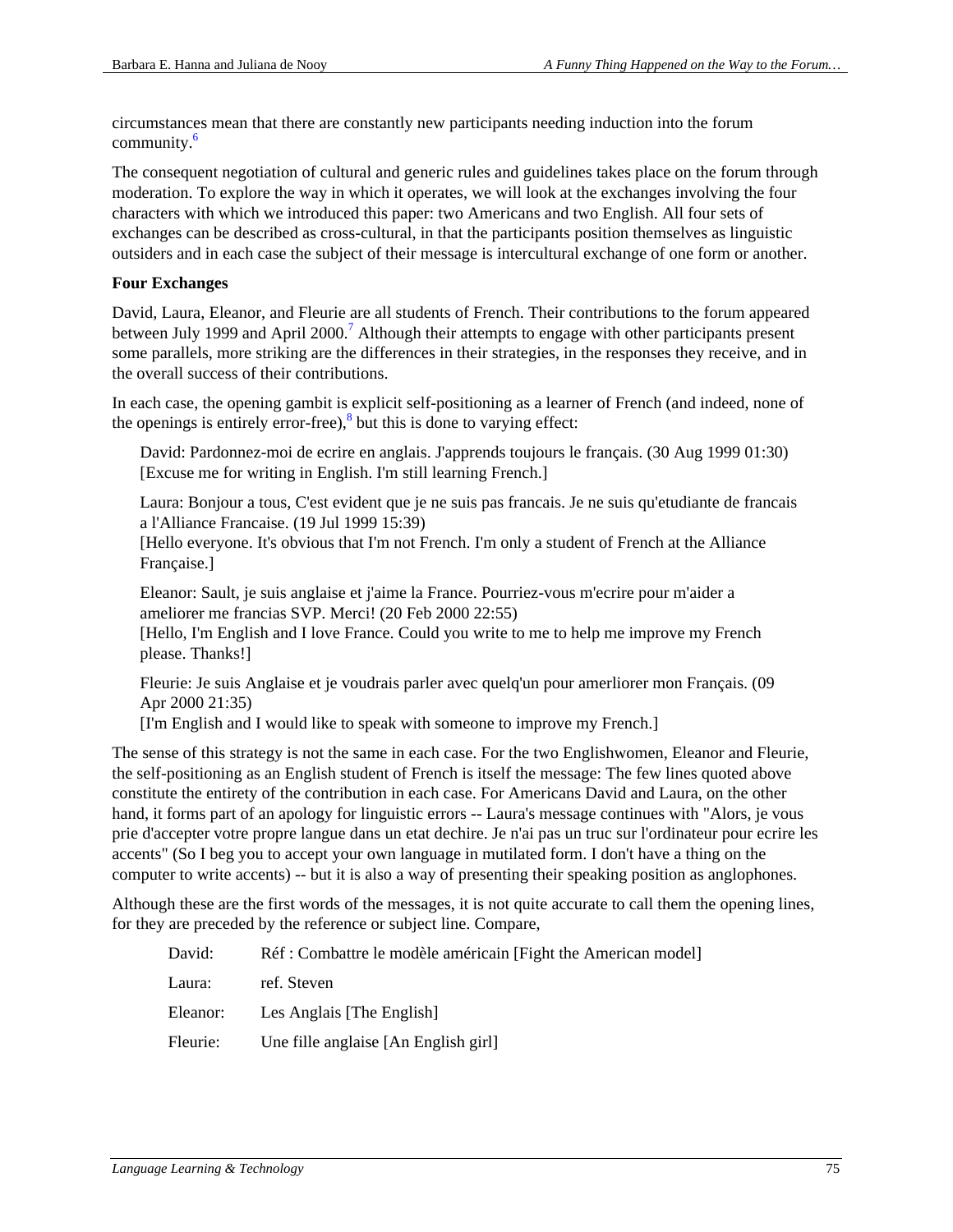circumstances mean that there are constantly new participants needing induction into the forum community.6

The consequent negotiation of cultural and generic rules and guidelines takes place on the forum through moderation. To explore the way in which it operates, we will look at the exchanges involving the four characters with which we introduced this paper: two Americans and two English. All four sets of exchanges can be described as cross-cultural, in that the participants position themselves as linguistic outsiders and in each case the subject of their message is intercultural exchange of one form or another.

#### **Four Exchanges**

David, Laura, Eleanor, and Fleurie are all students of French. Their contributions to the forum appeared between July 1999 and April 2000.<sup>7</sup> Although their attempts to engage with other participants present some parallels, more striking are the differences in their strategies, in the responses they receive, and in the overall success of their contributions.

In each case, the opening gambit is explicit self-positioning as a learner of French (and indeed, none of the openings is entirely error-free), $\frac{8}{3}$  but this is done to varying effect:

David: Pardonnez-moi de ecrire en anglais. J'apprends toujours le français. (30 Aug 1999 01:30) [Excuse me for writing in English. I'm still learning French.]

Laura: Bonjour a tous, C'est evident que je ne suis pas francais. Je ne suis qu'etudiante de francais a l'Alliance Francaise. (19 Jul 1999 15:39)

[Hello everyone. It's obvious that I'm not French. I'm only a student of French at the Alliance Française.]

Eleanor: Sault, je suis anglaise et j'aime la France. Pourriez-vous m'ecrire pour m'aider a ameliorer me francias SVP. Merci! (20 Feb 2000 22:55)

[Hello, I'm English and I love France. Could you write to me to help me improve my French please. Thanks!]

Fleurie: Je suis Anglaise et je voudrais parler avec quelq'un pour amerliorer mon Français. (09 Apr 2000 21:35)

[I'm English and I would like to speak with someone to improve my French.]

The sense of this strategy is not the same in each case. For the two Englishwomen, Eleanor and Fleurie, the self-positioning as an English student of French is itself the message: The few lines quoted above constitute the entirety of the contribution in each case. For Americans David and Laura, on the other hand, it forms part of an apology for linguistic errors -- Laura's message continues with "Alors, je vous prie d'accepter votre propre langue dans un etat dechire. Je n'ai pas un truc sur l'ordinateur pour ecrire les accents" (So I beg you to accept your own language in mutilated form. I don't have a thing on the computer to write accents) -- but it is also a way of presenting their speaking position as anglophones.

Although these are the first words of the messages, it is not quite accurate to call them the opening lines, for they are preceded by the reference or subject line. Compare,

| David:   | Réf : Combattre le modèle américain [Fight the American model] |
|----------|----------------------------------------------------------------|
| Laura:   | ref. Steven                                                    |
| Eleanor: | Les Anglais [The English]                                      |
| Fleurie: | Une fille anglaise [An English girl]                           |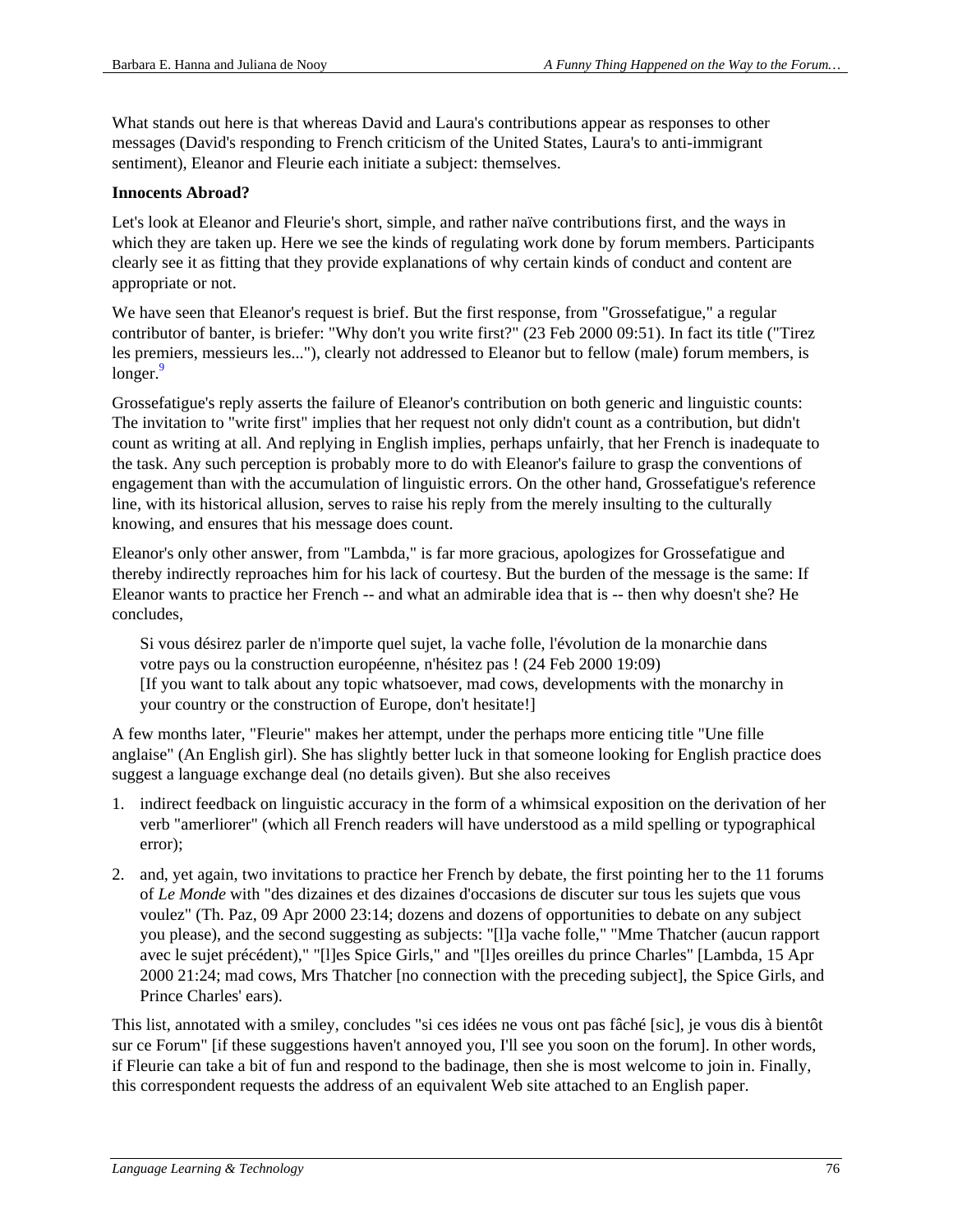What stands out here is that whereas David and Laura's contributions appear as responses to other messages (David's responding to French criticism of the United States, Laura's to anti-immigrant sentiment), Eleanor and Fleurie each initiate a subject: themselves.

#### **Innocents Abroad?**

Let's look at Eleanor and Fleurie's short, simple, and rather naïve contributions first, and the ways in which they are taken up. Here we see the kinds of regulating work done by forum members. Participants clearly see it as fitting that they provide explanations of why certain kinds of conduct and content are appropriate or not.

We have seen that Eleanor's request is brief. But the first response, from "Grossefatigue," a regular contributor of banter, is briefer: "Why don't you write first?" (23 Feb 2000 09:51). In fact its title ("Tirez les premiers, messieurs les..."), clearly not addressed to Eleanor but to fellow (male) forum members, is  $longer.<sup>9</sup>$ 

Grossefatigue's reply asserts the failure of Eleanor's contribution on both generic and linguistic counts: The invitation to "write first" implies that her request not only didn't count as a contribution, but didn't count as writing at all. And replying in English implies, perhaps unfairly, that her French is inadequate to the task. Any such perception is probably more to do with Eleanor's failure to grasp the conventions of engagement than with the accumulation of linguistic errors. On the other hand, Grossefatigue's reference line, with its historical allusion, serves to raise his reply from the merely insulting to the culturally knowing, and ensures that his message does count.

Eleanor's only other answer, from "Lambda," is far more gracious, apologizes for Grossefatigue and thereby indirectly reproaches him for his lack of courtesy. But the burden of the message is the same: If Eleanor wants to practice her French -- and what an admirable idea that is -- then why doesn't she? He concludes,

Si vous désirez parler de n'importe quel sujet, la vache folle, l'évolution de la monarchie dans votre pays ou la construction européenne, n'hésitez pas ! (24 Feb 2000 19:09) [If you want to talk about any topic whatsoever, mad cows, developments with the monarchy in your country or the construction of Europe, don't hesitate!]

A few months later, "Fleurie" makes her attempt, under the perhaps more enticing title "Une fille anglaise" (An English girl). She has slightly better luck in that someone looking for English practice does suggest a language exchange deal (no details given). But she also receives

- 1. indirect feedback on linguistic accuracy in the form of a whimsical exposition on the derivation of her verb "amerliorer" (which all French readers will have understood as a mild spelling or typographical error);
- 2. and, yet again, two invitations to practice her French by debate, the first pointing her to the 11 forums of *Le Monde* with "des dizaines et des dizaines d'occasions de discuter sur tous les sujets que vous voulez" (Th. Paz, 09 Apr 2000 23:14; dozens and dozens of opportunities to debate on any subject you please), and the second suggesting as subjects: "[l]a vache folle," "Mme Thatcher (aucun rapport avec le sujet précédent)," "[l]es Spice Girls," and "[l]es oreilles du prince Charles" [Lambda, 15 Apr 2000 21:24; mad cows, Mrs Thatcher [no connection with the preceding subject], the Spice Girls, and Prince Charles' ears).

This list, annotated with a smiley, concludes "si ces idées ne vous ont pas fâché [sic], je vous dis à bientôt sur ce Forum" [if these suggestions haven't annoyed you, I'll see you soon on the forum]. In other words, if Fleurie can take a bit of fun and respond to the badinage, then she is most welcome to join in. Finally, this correspondent requests the address of an equivalent Web site attached to an English paper.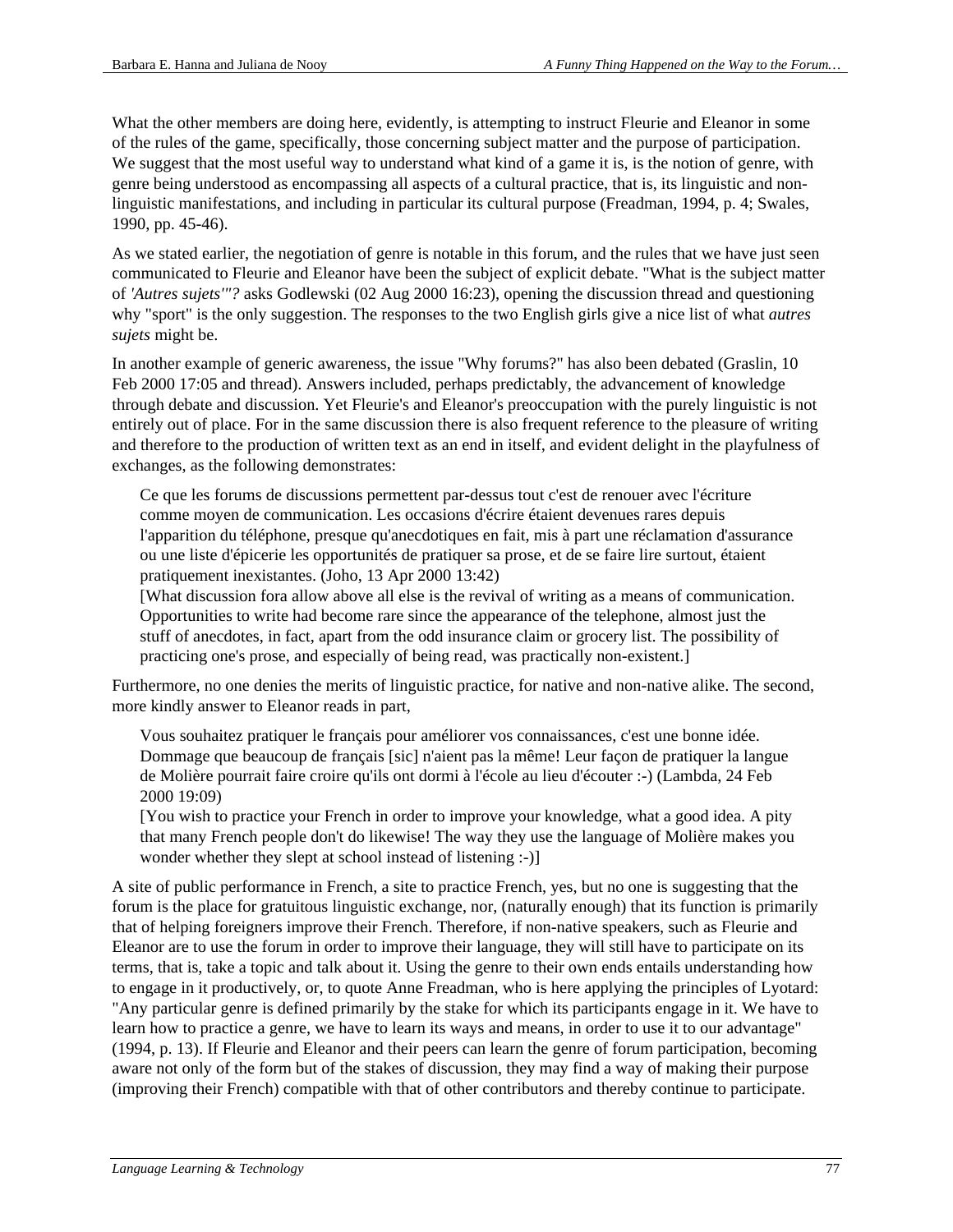What the other members are doing here, evidently, is attempting to instruct Fleurie and Eleanor in some of the rules of the game, specifically, those concerning subject matter and the purpose of participation. We suggest that the most useful way to understand what kind of a game it is, is the notion of genre, with genre being understood as encompassing all aspects of a cultural practice, that is, its linguistic and nonlinguistic manifestations, and including in particular its cultural purpose (Freadman, 1994, p. 4; Swales, 1990, pp. 45-46).

As we stated earlier, the negotiation of genre is notable in this forum, and the rules that we have just seen communicated to Fleurie and Eleanor have been the subject of explicit debate. "What is the subject matter of *'Autres sujets'"?* asks Godlewski (02 Aug 2000 16:23), opening the discussion thread and questioning why "sport" is the only suggestion. The responses to the two English girls give a nice list of what *autres sujets* might be.

In another example of generic awareness, the issue "Why forums?" has also been debated (Graslin, 10 Feb 2000 17:05 and thread). Answers included, perhaps predictably, the advancement of knowledge through debate and discussion. Yet Fleurie's and Eleanor's preoccupation with the purely linguistic is not entirely out of place. For in the same discussion there is also frequent reference to the pleasure of writing and therefore to the production of written text as an end in itself, and evident delight in the playfulness of exchanges, as the following demonstrates:

Ce que les forums de discussions permettent par-dessus tout c'est de renouer avec l'écriture comme moyen de communication. Les occasions d'écrire étaient devenues rares depuis l'apparition du téléphone, presque qu'anecdotiques en fait, mis à part une réclamation d'assurance ou une liste d'épicerie les opportunités de pratiquer sa prose, et de se faire lire surtout, étaient pratiquement inexistantes. (Joho, 13 Apr 2000 13:42)

[What discussion fora allow above all else is the revival of writing as a means of communication. Opportunities to write had become rare since the appearance of the telephone, almost just the stuff of anecdotes, in fact, apart from the odd insurance claim or grocery list. The possibility of practicing one's prose, and especially of being read, was practically non-existent.]

Furthermore, no one denies the merits of linguistic practice, for native and non-native alike. The second, more kindly answer to Eleanor reads in part,

Vous souhaitez pratiquer le français pour améliorer vos connaissances, c'est une bonne idée. Dommage que beaucoup de français [sic] n'aient pas la même! Leur façon de pratiquer la langue de Molière pourrait faire croire qu'ils ont dormi à l'école au lieu d'écouter :-) (Lambda, 24 Feb 2000 19:09)

[You wish to practice your French in order to improve your knowledge, what a good idea. A pity that many French people don't do likewise! The way they use the language of Molière makes you wonder whether they slept at school instead of listening :-)]

A site of public performance in French, a site to practice French, yes, but no one is suggesting that the forum is the place for gratuitous linguistic exchange, nor, (naturally enough) that its function is primarily that of helping foreigners improve their French. Therefore, if non-native speakers, such as Fleurie and Eleanor are to use the forum in order to improve their language, they will still have to participate on its terms, that is, take a topic and talk about it. Using the genre to their own ends entails understanding how to engage in it productively, or, to quote Anne Freadman, who is here applying the principles of Lyotard: "Any particular genre is defined primarily by the stake for which its participants engage in it. We have to learn how to practice a genre, we have to learn its ways and means, in order to use it to our advantage" (1994, p. 13). If Fleurie and Eleanor and their peers can learn the genre of forum participation, becoming aware not only of the form but of the stakes of discussion, they may find a way of making their purpose (improving their French) compatible with that of other contributors and thereby continue to participate.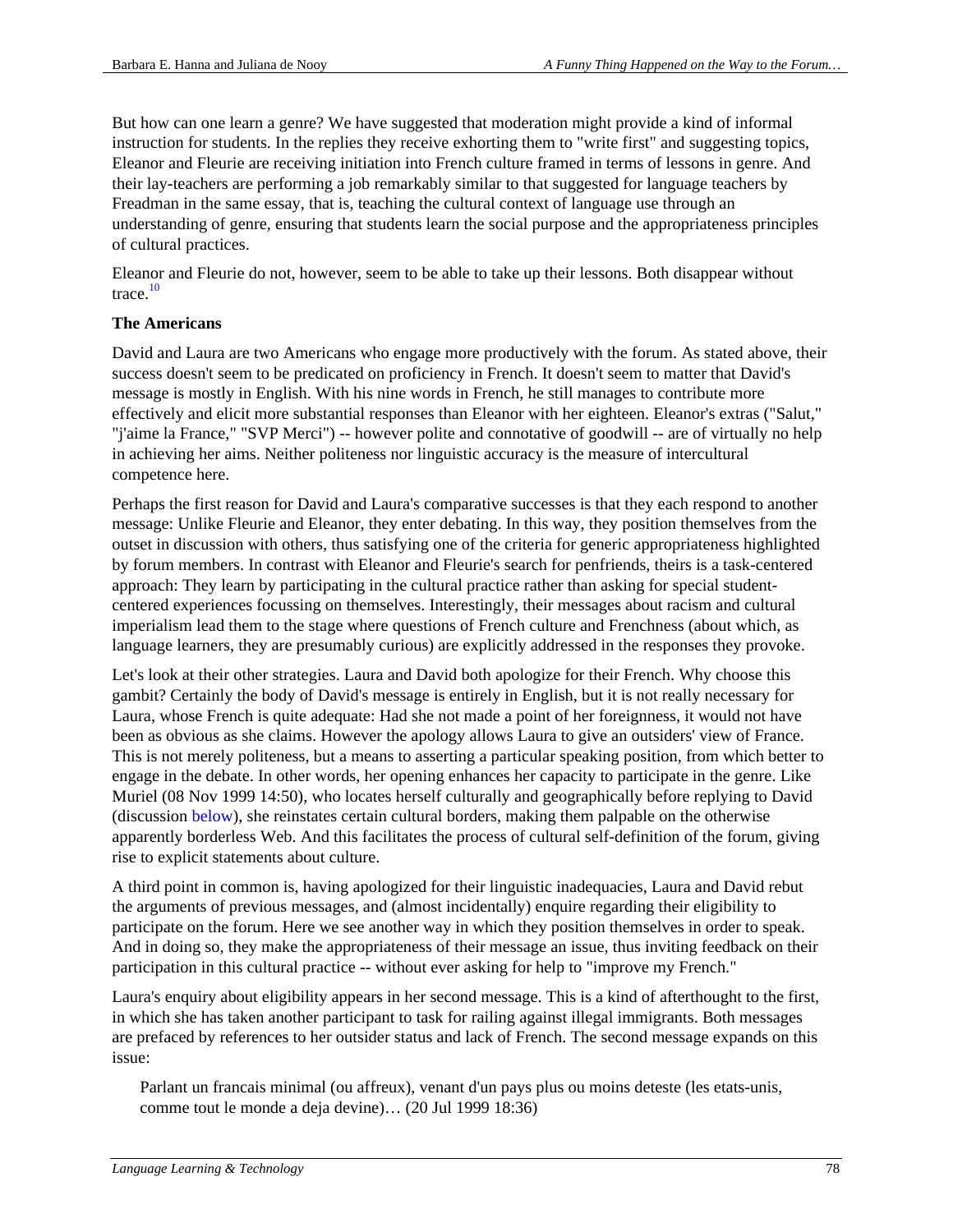But how can one learn a genre? We have suggested that moderation might provide a kind of informal instruction for students. In the replies they receive exhorting them to "write first" and suggesting topics, Eleanor and Fleurie are receiving initiation into French culture framed in terms of lessons in genre. And their lay-teachers are performing a job remarkably similar to that suggested for language teachers by Freadman in the same essay, that is, teaching the cultural context of language use through an understanding of genre, ensuring that students learn the social purpose and the appropriateness principles of cultural practices.

Eleanor and Fleurie do not, however, seem to be able to take up their lessons. Both disappear without trace. $10$ 

## **The Americans**

David and Laura are two Americans who engage more productively with the forum. As stated above, their success doesn't seem to be predicated on proficiency in French. It doesn't seem to matter that David's message is mostly in English. With his nine words in French, he still manages to contribute more effectively and elicit more substantial responses than Eleanor with her eighteen. Eleanor's extras ("Salut," "j'aime la France," "SVP Merci") -- however polite and connotative of goodwill -- are of virtually no help in achieving her aims. Neither politeness nor linguistic accuracy is the measure of intercultural competence here.

Perhaps the first reason for David and Laura's comparative successes is that they each respond to another message: Unlike Fleurie and Eleanor, they enter debating. In this way, they position themselves from the outset in discussion with others, thus satisfying one of the criteria for generic appropriateness highlighted by forum members. In contrast with Eleanor and Fleurie's search for penfriends, theirs is a task-centered approach: They learn by participating in the cultural practice rather than asking for special studentcentered experiences focussing on themselves. Interestingly, their messages about racism and cultural imperialism lead them to the stage where questions of French culture and Frenchness (about which, as language learners, they are presumably curious) are explicitly addressed in the responses they provoke.

Let's look at their other strategies. Laura and David both apologize for their French. Why choose this gambit? Certainly the body of David's message is entirely in English, but it is not really necessary for Laura, whose French is quite adequate: Had she not made a point of her foreignness, it would not have been as obvious as she claims. However the apology allows Laura to give an outsiders' view of France. This is not merely politeness, but a means to asserting a particular speaking position, from which better to engage in the debate. In other words, her opening enhances her capacity to participate in the genre. Like Muriel (08 Nov 1999 14:50), who locates herself culturally and geographically before replying to David (discussion below), she reinstates certain cultural borders, making them palpable on the otherwise apparently borderless Web. And this facilitates the process of cultural self-definition of the forum, giving rise to explicit statements about culture.

A third point in common is, having apologized for their linguistic inadequacies, Laura and David rebut the arguments of previous messages, and (almost incidentally) enquire regarding their eligibility to participate on the forum. Here we see another way in which they position themselves in order to speak. And in doing so, they make the appropriateness of their message an issue, thus inviting feedback on their participation in this cultural practice -- without ever asking for help to "improve my French."

Laura's enquiry about eligibility appears in her second message. This is a kind of afterthought to the first, in which she has taken another participant to task for railing against illegal immigrants. Both messages are prefaced by references to her outsider status and lack of French. The second message expands on this issue:

Parlant un francais minimal (ou affreux), venant d'un pays plus ou moins deteste (les etats-unis, comme tout le monde a deja devine)… (20 Jul 1999 18:36)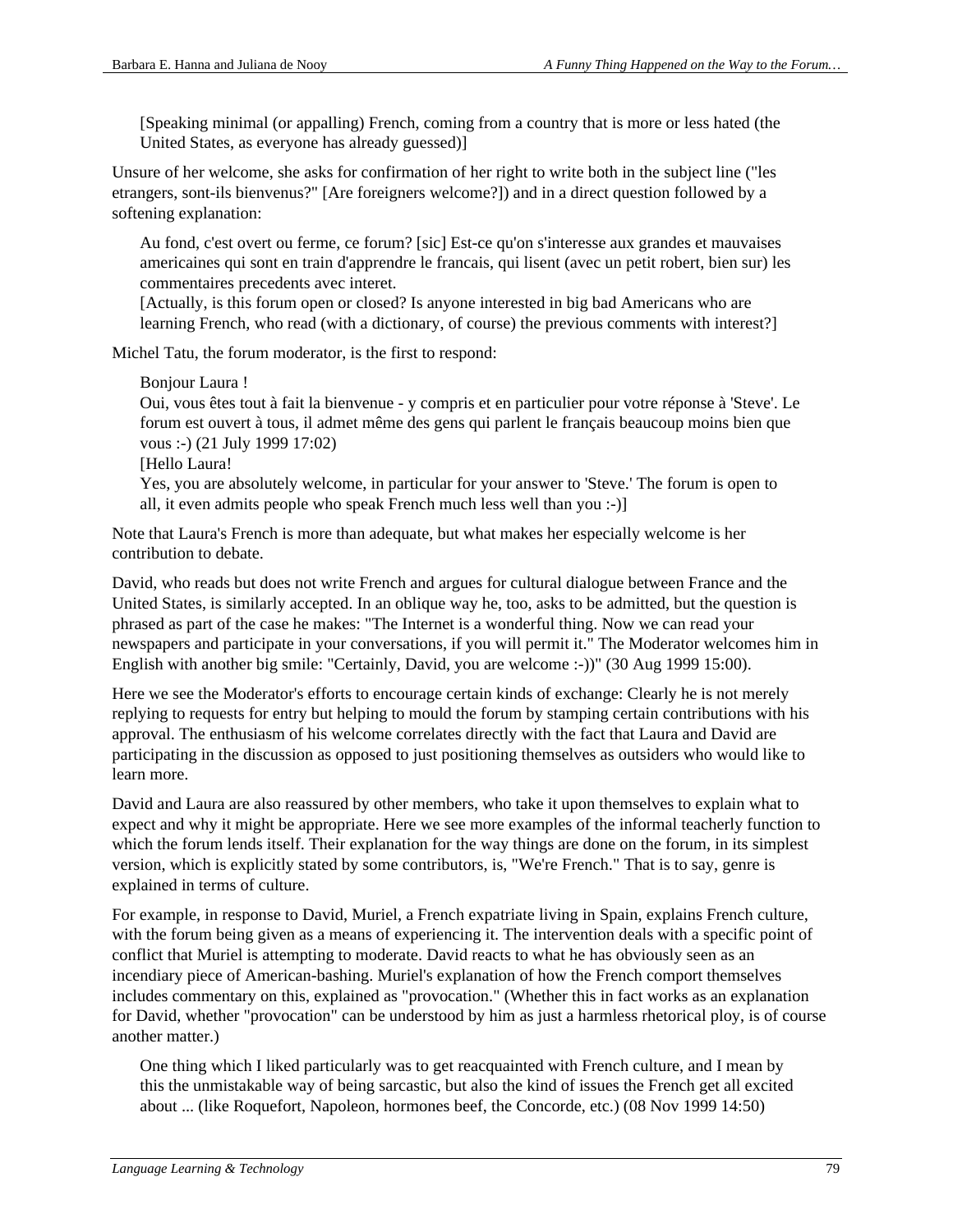[Speaking minimal (or appalling) French, coming from a country that is more or less hated (the United States, as everyone has already guessed)]

Unsure of her welcome, she asks for confirmation of her right to write both in the subject line ("les etrangers, sont-ils bienvenus?" [Are foreigners welcome?]) and in a direct question followed by a softening explanation:

Au fond, c'est overt ou ferme, ce forum? [sic] Est-ce qu'on s'interesse aux grandes et mauvaises americaines qui sont en train d'apprendre le francais, qui lisent (avec un petit robert, bien sur) les commentaires precedents avec interet.

[Actually, is this forum open or closed? Is anyone interested in big bad Americans who are learning French, who read (with a dictionary, of course) the previous comments with interest?]

Michel Tatu, the forum moderator, is the first to respond:

Bonjour Laura !

Oui, vous êtes tout à fait la bienvenue - y compris et en particulier pour votre réponse à 'Steve'. Le forum est ouvert à tous, il admet même des gens qui parlent le français beaucoup moins bien que vous :-) (21 July 1999 17:02)

[Hello Laura!

Yes, you are absolutely welcome, in particular for your answer to 'Steve.' The forum is open to all, it even admits people who speak French much less well than you :-)]

Note that Laura's French is more than adequate, but what makes her especially welcome is her contribution to debate.

David, who reads but does not write French and argues for cultural dialogue between France and the United States, is similarly accepted. In an oblique way he, too, asks to be admitted, but the question is phrased as part of the case he makes: "The Internet is a wonderful thing. Now we can read your newspapers and participate in your conversations, if you will permit it." The Moderator welcomes him in English with another big smile: "Certainly, David, you are welcome :-))" (30 Aug 1999 15:00).

Here we see the Moderator's efforts to encourage certain kinds of exchange: Clearly he is not merely replying to requests for entry but helping to mould the forum by stamping certain contributions with his approval. The enthusiasm of his welcome correlates directly with the fact that Laura and David are participating in the discussion as opposed to just positioning themselves as outsiders who would like to learn more.

David and Laura are also reassured by other members, who take it upon themselves to explain what to expect and why it might be appropriate. Here we see more examples of the informal teacherly function to which the forum lends itself. Their explanation for the way things are done on the forum, in its simplest version, which is explicitly stated by some contributors, is, "We're French." That is to say, genre is explained in terms of culture.

For example, in response to David, Muriel, a French expatriate living in Spain, explains French culture, with the forum being given as a means of experiencing it. The intervention deals with a specific point of conflict that Muriel is attempting to moderate. David reacts to what he has obviously seen as an incendiary piece of American-bashing. Muriel's explanation of how the French comport themselves includes commentary on this, explained as "provocation." (Whether this in fact works as an explanation for David, whether "provocation" can be understood by him as just a harmless rhetorical ploy, is of course another matter.)

One thing which I liked particularly was to get reacquainted with French culture, and I mean by this the unmistakable way of being sarcastic, but also the kind of issues the French get all excited about ... (like Roquefort, Napoleon, hormones beef, the Concorde, etc.) (08 Nov 1999 14:50)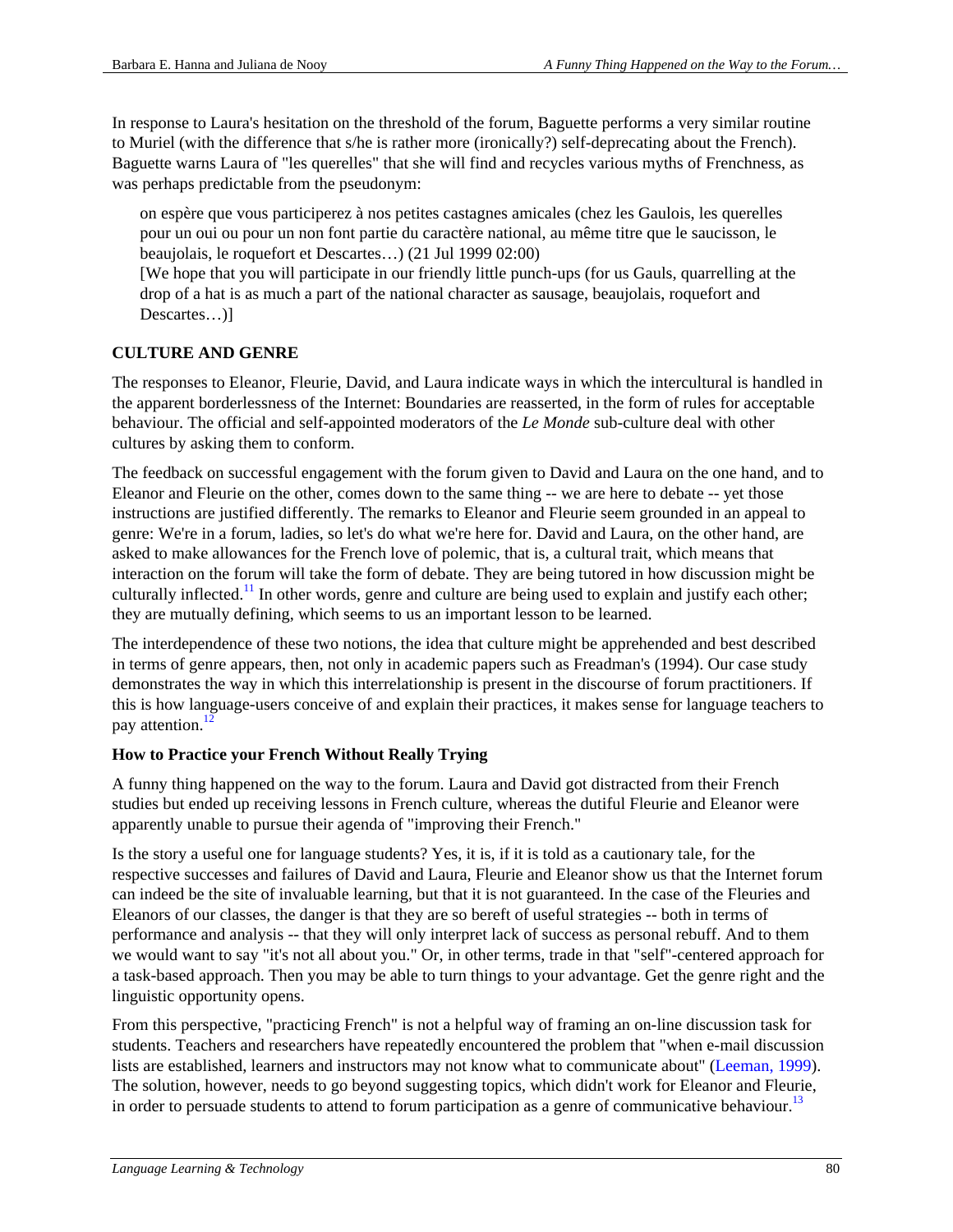In response to Laura's hesitation on the threshold of the forum, Baguette performs a very similar routine to Muriel (with the difference that s/he is rather more (ironically?) self-deprecating about the French). Baguette warns Laura of "les querelles" that she will find and recycles various myths of Frenchness, as was perhaps predictable from the pseudonym:

on espère que vous participerez à nos petites castagnes amicales (chez les Gaulois, les querelles pour un oui ou pour un non font partie du caractère national, au même titre que le saucisson, le beaujolais, le roquefort et Descartes…) (21 Jul 1999 02:00)

[We hope that you will participate in our friendly little punch-ups (for us Gauls, quarrelling at the drop of a hat is as much a part of the national character as sausage, beaujolais, roquefort and Descartes...)]

## **CULTURE AND GENRE**

The responses to Eleanor, Fleurie, David, and Laura indicate ways in which the intercultural is handled in the apparent borderlessness of the Internet: Boundaries are reasserted, in the form of rules for acceptable behaviour. The official and self-appointed moderators of the *Le Monde* sub-culture deal with other cultures by asking them to conform.

The feedback on successful engagement with the forum given to David and Laura on the one hand, and to Eleanor and Fleurie on the other, comes down to the same thing -- we are here to debate -- yet those instructions are justified differently. The remarks to Eleanor and Fleurie seem grounded in an appeal to genre: We're in a forum, ladies, so let's do what we're here for. David and Laura, on the other hand, are asked to make allowances for the French love of polemic, that is, a cultural trait, which means that interaction on the forum will take the form of debate. They are being tutored in how discussion might be culturally inflected.<sup>11</sup> In other words, genre and culture are being used to explain and justify each other; they are mutually defining, which seems to us an important lesson to be learned.

The interdependence of these two notions, the idea that culture might be apprehended and best described in terms of genre appears, then, not only in academic papers such as Freadman's (1994). Our case study demonstrates the way in which this interrelationship is present in the discourse of forum practitioners. If this is how language-users conceive of and explain their practices, it makes sense for language teachers to pay attention. $\frac{12}{2}$ 

### **How to Practice your French Without Really Trying**

A funny thing happened on the way to the forum. Laura and David got distracted from their French studies but ended up receiving lessons in French culture, whereas the dutiful Fleurie and Eleanor were apparently unable to pursue their agenda of "improving their French."

Is the story a useful one for language students? Yes, it is, if it is told as a cautionary tale, for the respective successes and failures of David and Laura, Fleurie and Eleanor show us that the Internet forum can indeed be the site of invaluable learning, but that it is not guaranteed. In the case of the Fleuries and Eleanors of our classes, the danger is that they are so bereft of useful strategies -- both in terms of performance and analysis -- that they will only interpret lack of success as personal rebuff. And to them we would want to say "it's not all about you." Or, in other terms, trade in that "self"-centered approach for a task-based approach. Then you may be able to turn things to your advantage. Get the genre right and the linguistic opportunity opens.

From this perspective, "practicing French" is not a helpful way of framing an on-line discussion task for students. Teachers and researchers have repeatedly encountered the problem that "when e-mail discussion lists are established, learners and instructors may not know what to communicate about" (Leeman, 1999). The solution, however, needs to go beyond suggesting topics, which didn't work for Eleanor and Fleurie, in order to persuade students to attend to forum participation as a genre of communicative behaviour.<sup>13</sup>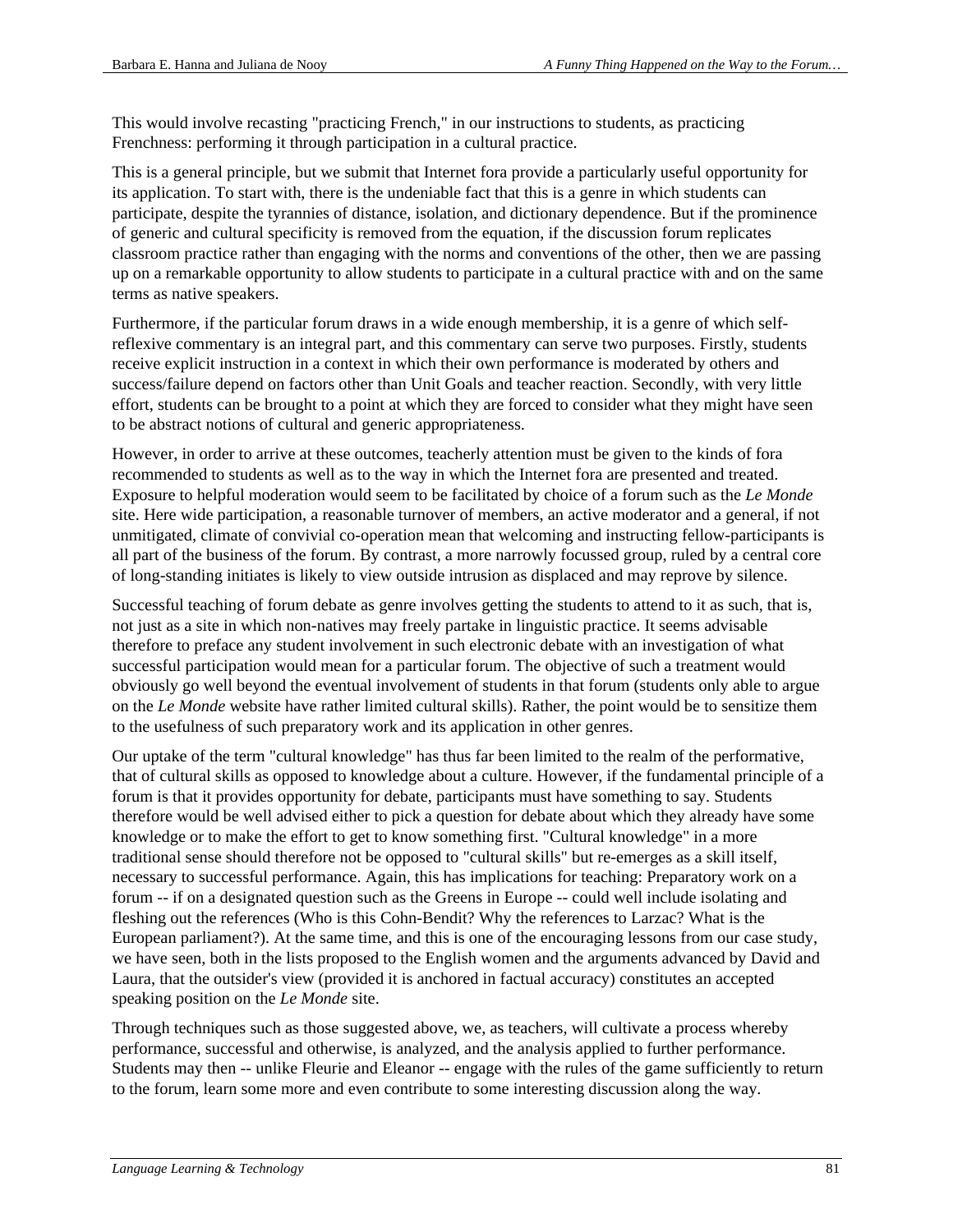This would involve recasting "practicing French," in our instructions to students, as practicing Frenchness: performing it through participation in a cultural practice.

This is a general principle, but we submit that Internet fora provide a particularly useful opportunity for its application. To start with, there is the undeniable fact that this is a genre in which students can participate, despite the tyrannies of distance, isolation, and dictionary dependence. But if the prominence of generic and cultural specificity is removed from the equation, if the discussion forum replicates classroom practice rather than engaging with the norms and conventions of the other, then we are passing up on a remarkable opportunity to allow students to participate in a cultural practice with and on the same terms as native speakers.

Furthermore, if the particular forum draws in a wide enough membership, it is a genre of which selfreflexive commentary is an integral part, and this commentary can serve two purposes. Firstly, students receive explicit instruction in a context in which their own performance is moderated by others and success/failure depend on factors other than Unit Goals and teacher reaction. Secondly, with very little effort, students can be brought to a point at which they are forced to consider what they might have seen to be abstract notions of cultural and generic appropriateness.

However, in order to arrive at these outcomes, teacherly attention must be given to the kinds of fora recommended to students as well as to the way in which the Internet fora are presented and treated. Exposure to helpful moderation would seem to be facilitated by choice of a forum such as the *Le Monde* site. Here wide participation, a reasonable turnover of members, an active moderator and a general, if not unmitigated, climate of convivial co-operation mean that welcoming and instructing fellow-participants is all part of the business of the forum. By contrast, a more narrowly focussed group, ruled by a central core of long-standing initiates is likely to view outside intrusion as displaced and may reprove by silence.

Successful teaching of forum debate as genre involves getting the students to attend to it as such, that is, not just as a site in which non-natives may freely partake in linguistic practice. It seems advisable therefore to preface any student involvement in such electronic debate with an investigation of what successful participation would mean for a particular forum. The objective of such a treatment would obviously go well beyond the eventual involvement of students in that forum (students only able to argue on the *Le Monde* website have rather limited cultural skills). Rather, the point would be to sensitize them to the usefulness of such preparatory work and its application in other genres.

Our uptake of the term "cultural knowledge" has thus far been limited to the realm of the performative, that of cultural skills as opposed to knowledge about a culture. However, if the fundamental principle of a forum is that it provides opportunity for debate, participants must have something to say. Students therefore would be well advised either to pick a question for debate about which they already have some knowledge or to make the effort to get to know something first. "Cultural knowledge" in a more traditional sense should therefore not be opposed to "cultural skills" but re-emerges as a skill itself, necessary to successful performance. Again, this has implications for teaching: Preparatory work on a forum -- if on a designated question such as the Greens in Europe -- could well include isolating and fleshing out the references (Who is this Cohn-Bendit? Why the references to Larzac? What is the European parliament?). At the same time, and this is one of the encouraging lessons from our case study, we have seen, both in the lists proposed to the English women and the arguments advanced by David and Laura, that the outsider's view (provided it is anchored in factual accuracy) constitutes an accepted speaking position on the *Le Monde* site.

Through techniques such as those suggested above, we, as teachers, will cultivate a process whereby performance, successful and otherwise, is analyzed, and the analysis applied to further performance. Students may then -- unlike Fleurie and Eleanor -- engage with the rules of the game sufficiently to return to the forum, learn some more and even contribute to some interesting discussion along the way.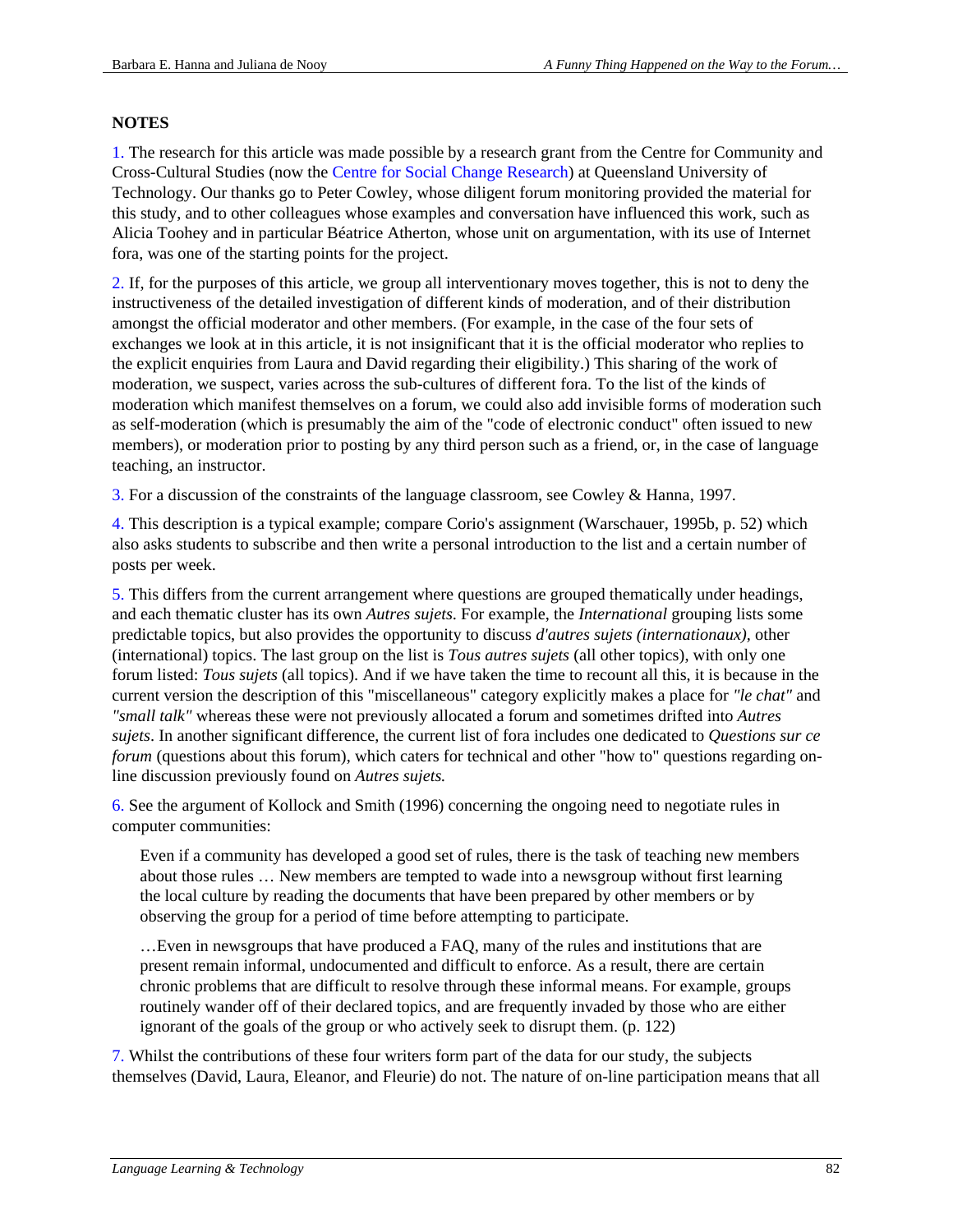#### **NOTES**

1. The research for this article was made possible by a research grant from the Centre for Community and Cross-Cultural Studies (now the Centre for Social Change Research) at Queensland University of Technology. Our thanks go to Peter Cowley, whose diligent forum monitoring provided the material for this study, and to other colleagues whose examples and conversation have influenced this work, such as Alicia Toohey and in particular Béatrice Atherton, whose unit on argumentation, with its use of Internet fora, was one of the starting points for the project.

2. If, for the purposes of this article, we group all interventionary moves together, this is not to deny the instructiveness of the detailed investigation of different kinds of moderation, and of their distribution amongst the official moderator and other members. (For example, in the case of the four sets of exchanges we look at in this article, it is not insignificant that it is the official moderator who replies to the explicit enquiries from Laura and David regarding their eligibility.) This sharing of the work of moderation, we suspect, varies across the sub-cultures of different fora. To the list of the kinds of moderation which manifest themselves on a forum, we could also add invisible forms of moderation such as self-moderation (which is presumably the aim of the "code of electronic conduct" often issued to new members), or moderation prior to posting by any third person such as a friend, or, in the case of language teaching, an instructor.

3. For a discussion of the constraints of the language classroom, see Cowley & Hanna, 1997.

4. This description is a typical example; compare Corio's assignment (Warschauer, 1995b, p. 52) which also asks students to subscribe and then write a personal introduction to the list and a certain number of posts per week.

5. This differs from the current arrangement where questions are grouped thematically under headings, and each thematic cluster has its own *Autres sujets*. For example, the *International* grouping lists some predictable topics, but also provides the opportunity to discuss *d'autres sujets (internationaux),* other (international) topics. The last group on the list is *Tous autres sujets* (all other topics), with only one forum listed: *Tous sujets* (all topics). And if we have taken the time to recount all this, it is because in the current version the description of this "miscellaneous" category explicitly makes a place for *"le chat"* and *"small talk"* whereas these were not previously allocated a forum and sometimes drifted into *Autres sujets*. In another significant difference, the current list of fora includes one dedicated to *Questions sur ce forum* (questions about this forum), which caters for technical and other "how to" questions regarding online discussion previously found on *Autres sujets.*

6. See the argument of Kollock and Smith (1996) concerning the ongoing need to negotiate rules in computer communities:

Even if a community has developed a good set of rules, there is the task of teaching new members about those rules … New members are tempted to wade into a newsgroup without first learning the local culture by reading the documents that have been prepared by other members or by observing the group for a period of time before attempting to participate.

…Even in newsgroups that have produced a FAQ, many of the rules and institutions that are present remain informal, undocumented and difficult to enforce. As a result, there are certain chronic problems that are difficult to resolve through these informal means. For example, groups routinely wander off of their declared topics, and are frequently invaded by those who are either ignorant of the goals of the group or who actively seek to disrupt them. (p. 122)

7. Whilst the contributions of these four writers form part of the data for our study, the subjects themselves (David, Laura, Eleanor, and Fleurie) do not. The nature of on-line participation means that all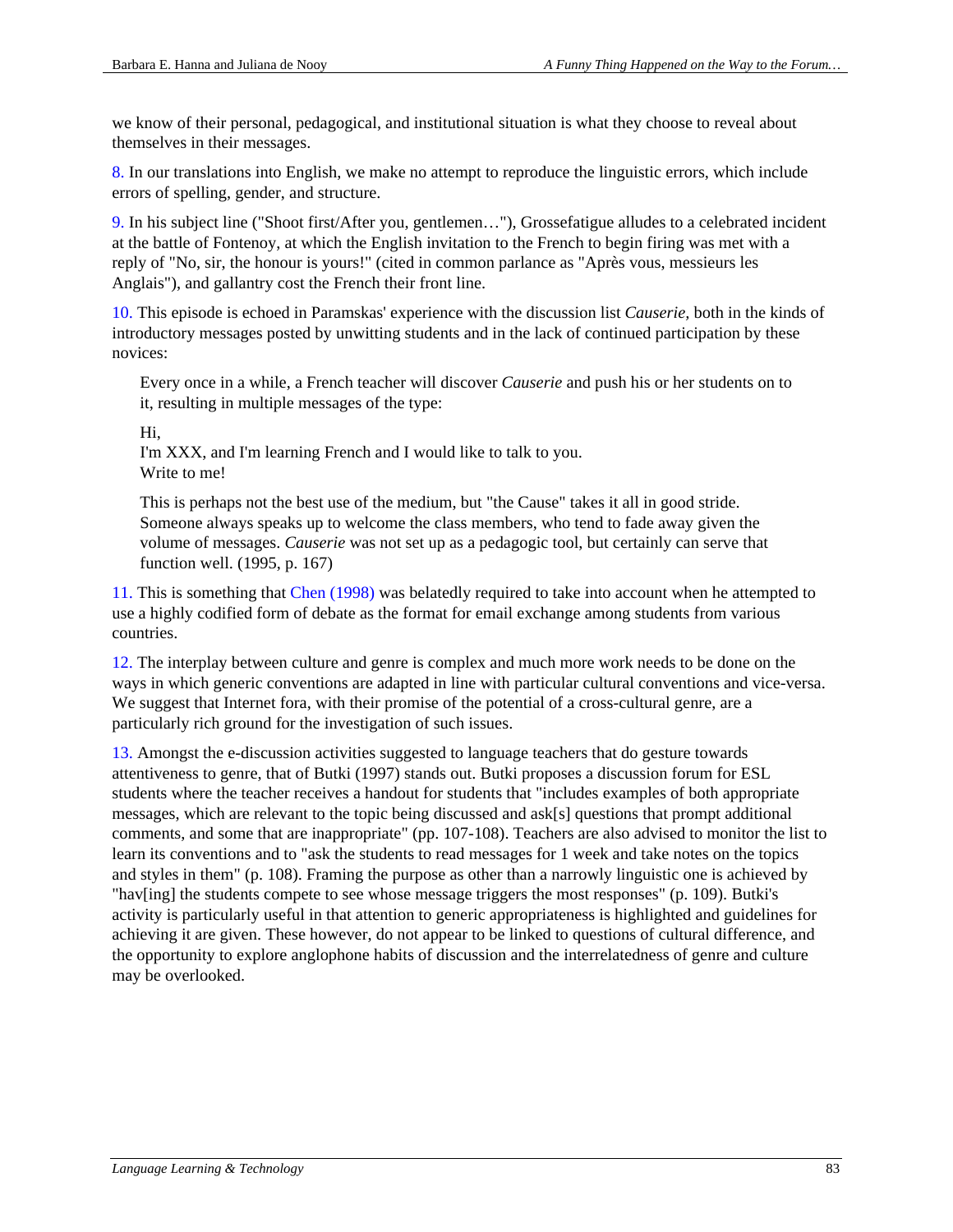we know of their personal, pedagogical, and institutional situation is what they choose to reveal about themselves in their messages.

8. In our translations into English, we make no attempt to reproduce the linguistic errors, which include errors of spelling, gender, and structure.

9. In his subject line ("Shoot first/After you, gentlemen…"), Grossefatigue alludes to a celebrated incident at the battle of Fontenoy, at which the English invitation to the French to begin firing was met with a reply of "No, sir, the honour is yours!" (cited in common parlance as "Après vous, messieurs les Anglais"), and gallantry cost the French their front line.

10. This episode is echoed in Paramskas' experience with the discussion list *Causerie,* both in the kinds of introductory messages posted by unwitting students and in the lack of continued participation by these novices:

Every once in a while, a French teacher will discover *Causerie* and push his or her students on to it, resulting in multiple messages of the type:

Hi,

I'm XXX, and I'm learning French and I would like to talk to you. Write to me!

This is perhaps not the best use of the medium, but "the Cause" takes it all in good stride. Someone always speaks up to welcome the class members, who tend to fade away given the volume of messages. *Causerie* was not set up as a pedagogic tool, but certainly can serve that function well. (1995, p. 167)

11. This is something that Chen (1998) was belatedly required to take into account when he attempted to use a highly codified form of debate as the format for email exchange among students from various countries.

12. The interplay between culture and genre is complex and much more work needs to be done on the ways in which generic conventions are adapted in line with particular cultural conventions and vice-versa. We suggest that Internet fora, with their promise of the potential of a cross-cultural genre, are a particularly rich ground for the investigation of such issues.

13. Amongst the e-discussion activities suggested to language teachers that do gesture towards attentiveness to genre, that of Butki (1997) stands out. Butki proposes a discussion forum for ESL students where the teacher receives a handout for students that "includes examples of both appropriate messages, which are relevant to the topic being discussed and ask[s] questions that prompt additional comments, and some that are inappropriate" (pp. 107-108). Teachers are also advised to monitor the list to learn its conventions and to "ask the students to read messages for 1 week and take notes on the topics and styles in them" (p. 108). Framing the purpose as other than a narrowly linguistic one is achieved by "hav[ing] the students compete to see whose message triggers the most responses" (p. 109). Butki's activity is particularly useful in that attention to generic appropriateness is highlighted and guidelines for achieving it are given. These however, do not appear to be linked to questions of cultural difference, and the opportunity to explore anglophone habits of discussion and the interrelatedness of genre and culture may be overlooked.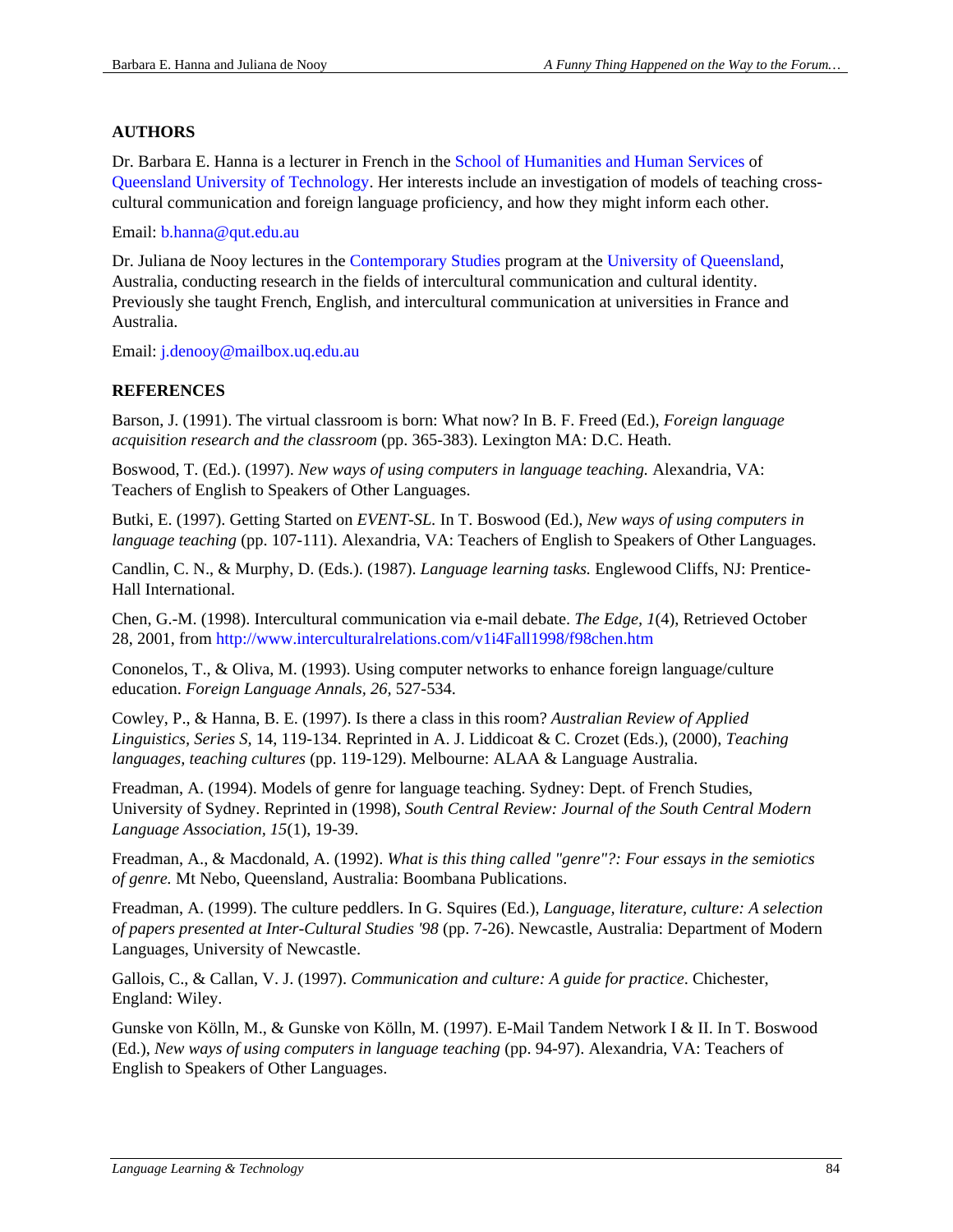# **AUTHORS**

Dr. Barbara E. Hanna is a lecturer in French in the School of Humanities and Human Services of Queensland University of Technology. Her interests include an investigation of models of teaching crosscultural communication and foreign language proficiency, and how they might inform each other.

Email: b.hanna@qut.edu.au

Dr. Juliana de Nooy lectures in the Contemporary Studies program at the University of Queensland, Australia, conducting research in the fields of intercultural communication and cultural identity. Previously she taught French, English, and intercultural communication at universities in France and Australia.

Email: j.denooy@mailbox.uq.edu.au

## **REFERENCES**

Barson, J. (1991). The virtual classroom is born: What now? In B. F. Freed (Ed.), *Foreign language acquisition research and the classroom* (pp. 365-383). Lexington MA: D.C. Heath.

Boswood, T. (Ed.). (1997). *New ways of using computers in language teaching.* Alexandria, VA: Teachers of English to Speakers of Other Languages.

Butki, E. (1997). Getting Started on *EVENT-SL.* In T. Boswood (Ed.), *New ways of using computers in language teaching* (pp. 107-111). Alexandria, VA: Teachers of English to Speakers of Other Languages.

Candlin, C. N., & Murphy, D. (Eds.). (1987). *Language learning tasks.* Englewood Cliffs, NJ: Prentice-Hall International.

Chen, G.-M. (1998). Intercultural communication via e-mail debate. *The Edge, 1*(4), Retrieved October 28, 2001, from http://www.interculturalrelations.com/v1i4Fall1998/f98chen.htm

Cononelos, T., & Oliva, M. (1993). Using computer networks to enhance foreign language/culture education. *Foreign Language Annals, 26,* 527-534.

Cowley, P., & Hanna, B. E. (1997). Is there a class in this room? *Australian Review of Applied Linguistics, Series S,* 14, 119-134. Reprinted in A. J. Liddicoat & C. Crozet (Eds.), (2000), *Teaching languages, teaching cultures* (pp. 119-129). Melbourne: ALAA & Language Australia.

Freadman, A. (1994). Models of genre for language teaching. Sydney: Dept. of French Studies, University of Sydney. Reprinted in (1998), *South Central Review: Journal of the South Central Modern Language Association, 15*(1), 19-39.

Freadman, A., & Macdonald, A. (1992). *What is this thing called "genre"?: Four essays in the semiotics of genre.* Mt Nebo, Queensland, Australia: Boombana Publications.

Freadman, A. (1999). The culture peddlers. In G. Squires (Ed.), *Language, literature, culture: A selection of papers presented at Inter-Cultural Studies '98* (pp. 7-26). Newcastle, Australia: Department of Modern Languages, University of Newcastle.

Gallois, C., & Callan, V. J. (1997). *Communication and culture: A guide for practice*. Chichester, England: Wiley.

Gunske von Kölln, M., & Gunske von Kölln, M. (1997). E-Mail Tandem Network I & II. In T. Boswood (Ed.), *New ways of using computers in language teaching* (pp. 94-97). Alexandria, VA: Teachers of English to Speakers of Other Languages.